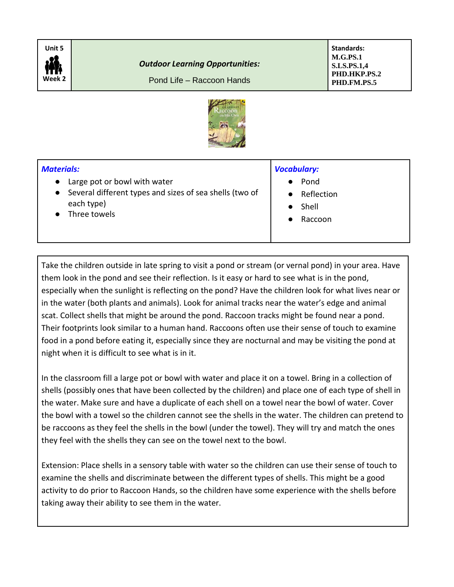

## *Outdoor Learning Opportunities:*

Pond Life – Raccoon Hands

**Standards: M.G.PS.1 S.LS.PS.1,4 PHD.HKP.PS.2 PHD.FM.PS.5**



## *Materials:*

- Large pot or bowl with water
- Several different types and sizes of sea shells (two of each type)
- Three towels

## *Vocabulary:*

- Pond
- **Reflection**
- **Shell**
- **Raccoon**

Take the children outside in late spring to visit a pond or stream (or vernal pond) in your area. Have them look in the pond and see their reflection. Is it easy or hard to see what is in the pond, especially when the sunlight is reflecting on the pond? Have the children look for what lives near or in the water (both plants and animals). Look for animal tracks near the water's edge and animal scat. Collect shells that might be around the pond. Raccoon tracks might be found near a pond. Their footprints look similar to a human hand. Raccoons often use their sense of touch to examine food in a pond before eating it, especially since they are nocturnal and may be visiting the pond at night when it is difficult to see what is in it.

In the classroom fill a large pot or bowl with water and place it on a towel. Bring in a collection of shells (possibly ones that have been collected by the children) and place one of each type of shell in the water. Make sure and have a duplicate of each shell on a towel near the bowl of water. Cover the bowl with a towel so the children cannot see the shells in the water. The children can pretend to be raccoons as they feel the shells in the bowl (under the towel). They will try and match the ones they feel with the shells they can see on the towel next to the bowl.

Extension: Place shells in a sensory table with water so the children can use their sense of touch to examine the shells and discriminate between the different types of shells. This might be a good activity to do prior to Raccoon Hands, so the children have some experience with the shells before taking away their ability to see them in the water.